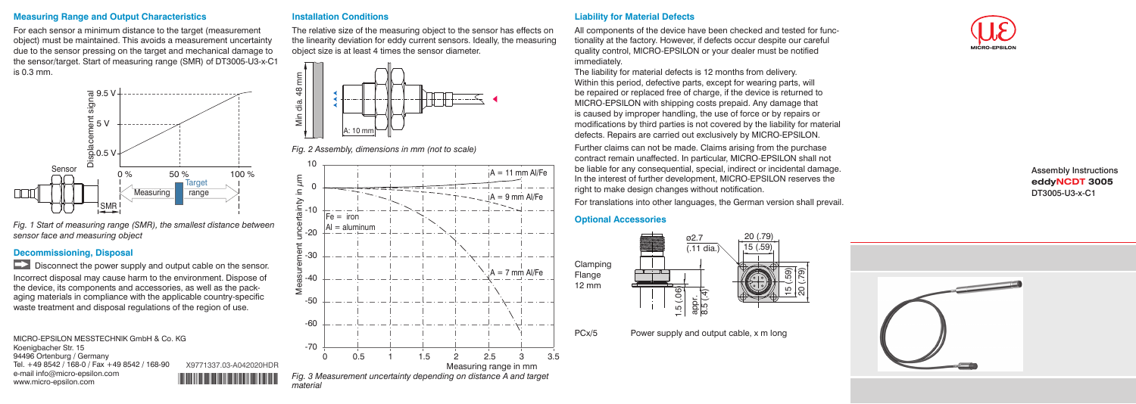### **Measuring Range and Output Characteristics**

For each sensor a minimum distance to the target (measurement object) must be maintained. This avoids a measurement uncertainty due to the sensor pressing on the target and mechanical damage to the sensor/target. Start of measuring range (SMR) of DT3005-U3-x-C1 is 0.3 mm.



Disconnect the power supply and output cable on the sensor. Incorrect disposal may cause harm to the environment. Dispose of the device, its components and accessories, as well as the packaging materials in compliance with the applicable country-specific waste treatment and disposal regulations of the region of use.

*Fig. 1 Start of measuring range (SMR), the smallest distance between sensor face and measuring object*

### **Decommissioning, Disposal**

### **Liability for Material Defects**

All components of the device have been checked and tested for functionality at the factory. However, if defects occur despite our careful quality control, MICRO-EPSILON or your dealer must be notified immediately.

The liability for material defects is 12 months from delivery. Within this period, defective parts, except for wearing parts, will be repaired or replaced free of charge, if the device is returned to MICRO-EPSILON with shipping costs prepaid. Any damage that is caused by improper handling, the use of force or by repairs or modifications by third parties is not covered by the liability for material defects. Repairs are carried out exclusively by MICRO-EPSILON.

MICRO-EPSILON MESSTECHNIK GmbH & Co. KG Koenigbacher Str. 15 94496 Ortenburg / Germany Tel. +49 8542 / 168-0 / Fax +49 8542 / 168-90 e-mail info@micro-epsilon.com www.micro-epsilon.com X9771337.03-A042020HDR Further claims can not be made. Claims arising from the purchase contract remain unaffected. In particular, MICRO-EPSILON shall not be liable for any consequential, special, indirect or incidental damage. In the interest of further development, MICRO-EPSILON reserves the right to make design changes without notification.

For translations into other languages, the German version shall prevail.

#### **Optional Accessories**





Assembly Instructions **eddyNCDT 3005** DT3005-U3-x-C1



### **Installation Conditions**

The relative size of the measuring object to the sensor has effects on the linearity deviation for eddy current sensors. Ideally, the measuring object size is at least 4 times the sensor diameter.



*Fig. 2 Assembly, dimensions in mm (not to scale)*



*Fig. 3 Measurement uncertainty depending on distance A and target material*